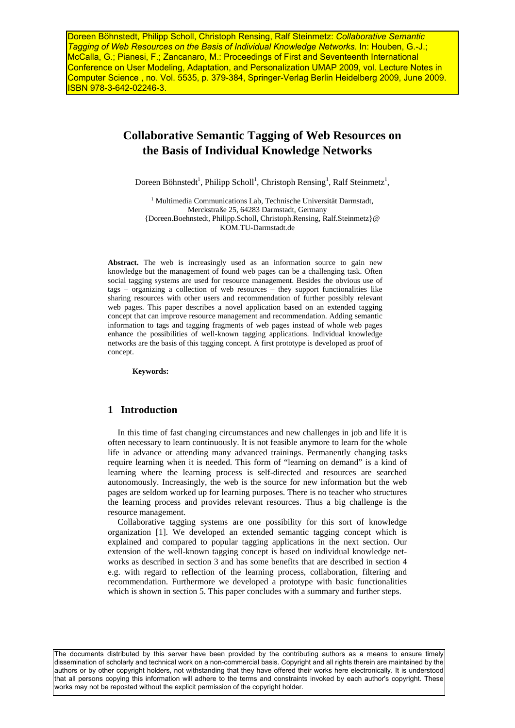Doreen Böhnstedt, Philipp Scholl, Christoph Rensing, Ralf Steinmetz: *Collaborative Semantic Tagging of Web Resources on the Basis of Individual Knowledge Networks.* In: Houben, G.-J.; McCalla, G.; Pianesi, F.; Zancanaro, M.: Proceedings of First and Seventeenth International Conference on User Modeling, Adaptation, and Personalization UMAP 2009, vol. Lecture Notes in Computer Science , no. Vol. 5535, p. 379-384, Springer-Verlag Berlin Heidelberg 2009, June 2009. ISBN 978-3-642-02246-3.

# **Collaborative Semantic Tagging of Web Resources on the Basis of Individual Knowledge Networks**

Doreen Böhnstedt<sup>1</sup>, Philipp Scholl<sup>1</sup>, Christoph Rensing<sup>1</sup>, Ralf Steinmetz<sup>1</sup>,

<sup>1</sup> Multimedia Communications Lab, Technische Universität Darmstadt, Merckstraße 25, 64283 Darmstadt, Germany {Doreen.Boehnstedt, Philipp.Scholl, Christoph.Rensing, Ralf.Steinmetz}@ KOM.TU-Darmstadt.de

Abstract. The web is increasingly used as an information source to gain new knowledge but the management of found web pages can be a challenging task. Often social tagging systems are used for resource management. Besides the obvious use of tags – organizing a collection of web resources – they support functionalities like sharing resources with other users and recommendation of further possibly relevant web pages. This paper describes a novel application based on an extended tagging concept that can improve resource management and recommendation. Adding semantic information to tags and tagging fragments of web pages instead of whole web pages enhance the possibilities of well-known tagging applications. Individual knowledge networks are the basis of this tagging concept. A first prototype is developed as proof of concept.

**Keywords:** 

## **1 Introduction**

In this time of fast changing circumstances and new challenges in job and life it is often necessary to learn continuously. It is not feasible anymore to learn for the whole life in advance or attending many advanced trainings. Permanently changing tasks require learning when it is needed. This form of "learning on demand" is a kind of learning where the learning process is self-directed and resources are searched autonomously. Increasingly, the web is the source for new information but the web pages are seldom worked up for learning purposes. There is no teacher who structures the learning process and provides relevant resources. Thus a big challenge is the resource management.

Collaborative tagging systems are one possibility for this sort of knowledge organization [1]. We developed an extended semantic tagging concept which is explained and compared to popular tagging applications in the next section. Our extension of the well-known tagging concept is based on individual knowledge networks as described in section 3 and has some benefits that are described in section 4 e.g. with regard to reflection of the learning process, collaboration, filtering and recommendation. Furthermore we developed a prototype with basic functionalities which is shown in section 5. This paper concludes with a summary and further steps.

The documents distributed by this server have been provided by the contributing authors as a means to ensure timely dissemination of scholarly and technical work on a non-commercial basis. Copyright and all rights therein are maintained by the authors or by other copyright holders, not withstanding that they have offered their works here electronically. It is understood that all persons copying this information will adhere to the terms and constraints invoked by each author's copyright. These works may not be reposted without the explicit permission of the copyright holder.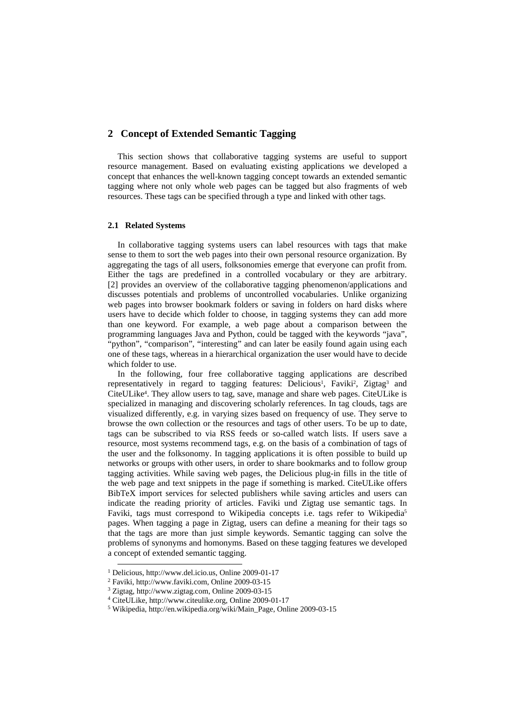## **2 Concept of Extended Semantic Tagging**

This section shows that collaborative tagging systems are useful to support resource management. Based on evaluating existing applications we developed a concept that enhances the well-known tagging concept towards an extended semantic tagging where not only whole web pages can be tagged but also fragments of web resources. These tags can be specified through a type and linked with other tags.

#### **2.1 Related Systems**

In collaborative tagging systems users can label resources with tags that make sense to them to sort the web pages into their own personal resource organization. By aggregating the tags of all users, folksonomies emerge that everyone can profit from. Either the tags are predefined in a controlled vocabulary or they are arbitrary. [2] provides an overview of the collaborative tagging phenomenon/applications and discusses potentials and problems of uncontrolled vocabularies. Unlike organizing web pages into browser bookmark folders or saving in folders on hard disks where users have to decide which folder to choose, in tagging systems they can add more than one keyword. For example, a web page about a comparison between the programming languages Java and Python, could be tagged with the keywords "java", "python", "comparison", "interesting" and can later be easily found again using each one of these tags, whereas in a hierarchical organization the user would have to decide which folder to use.

In the following, four free collaborative tagging applications are described representatively in regard to tagging features: Delicious<sup>1</sup>, Faviki<sup>2</sup>, Zigtag<sup>3</sup> and CiteULike4. They allow users to tag, save, manage and share web pages. CiteULike is specialized in managing and discovering scholarly references. In tag clouds, tags are visualized differently, e.g. in varying sizes based on frequency of use. They serve to browse the own collection or the resources and tags of other users. To be up to date, tags can be subscribed to via RSS feeds or so-called watch lists. If users save a resource, most systems recommend tags, e.g. on the basis of a combination of tags of the user and the folksonomy. In tagging applications it is often possible to build up networks or groups with other users, in order to share bookmarks and to follow group tagging activities. While saving web pages, the Delicious plug-in fills in the title of the web page and text snippets in the page if something is marked. CiteULike offers BibTeX import services for selected publishers while saving articles and users can indicate the reading priority of articles. Faviki und Zigtag use semantic tags. In Faviki, tags must correspond to Wikipedia concepts i.e. tags refer to Wikipedia<sup>5</sup> pages. When tagging a page in Zigtag, users can define a meaning for their tags so that the tags are more than just simple keywords. Semantic tagging can solve the problems of synonyms and homonyms. Based on these tagging features we developed a concept of extended semantic tagging.

 <sup>1</sup> Delicious, http://www.del.icio.us, Online 2009-01-17

<sup>2</sup> Faviki, http://www.faviki.com, Online 2009-03-15 3 Zigtag, http://www.zigtag.com, Online 2009-03-15

<sup>4</sup> CiteULike, http://www.citeulike.org, Online 2009-01-17

<sup>5</sup> Wikipedia, http://en.wikipedia.org/wiki/Main\_Page, Online 2009-03-15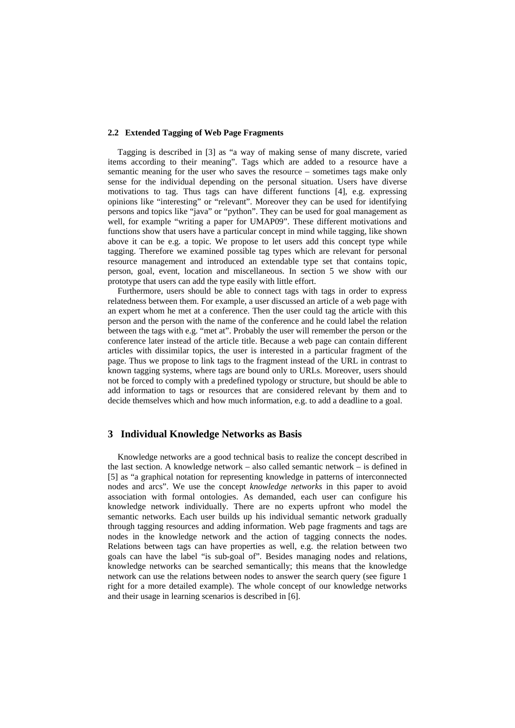#### **2.2 Extended Tagging of Web Page Fragments**

Tagging is described in [3] as "a way of making sense of many discrete, varied items according to their meaning". Tags which are added to a resource have a semantic meaning for the user who saves the resource – sometimes tags make only sense for the individual depending on the personal situation. Users have diverse motivations to tag. Thus tags can have different functions [4], e.g. expressing opinions like "interesting" or "relevant". Moreover they can be used for identifying persons and topics like "java" or "python". They can be used for goal management as well, for example "writing a paper for UMAP09". These different motivations and functions show that users have a particular concept in mind while tagging, like shown above it can be e.g. a topic. We propose to let users add this concept type while tagging. Therefore we examined possible tag types which are relevant for personal resource management and introduced an extendable type set that contains topic, person, goal, event, location and miscellaneous. In section 5 we show with our prototype that users can add the type easily with little effort.

Furthermore, users should be able to connect tags with tags in order to express relatedness between them. For example, a user discussed an article of a web page with an expert whom he met at a conference. Then the user could tag the article with this person and the person with the name of the conference and he could label the relation between the tags with e.g. "met at". Probably the user will remember the person or the conference later instead of the article title. Because a web page can contain different articles with dissimilar topics, the user is interested in a particular fragment of the page. Thus we propose to link tags to the fragment instead of the URL in contrast to known tagging systems, where tags are bound only to URLs. Moreover, users should not be forced to comply with a predefined typology or structure, but should be able to add information to tags or resources that are considered relevant by them and to decide themselves which and how much information, e.g. to add a deadline to a goal.

#### **3 Individual Knowledge Networks as Basis**

Knowledge networks are a good technical basis to realize the concept described in the last section. A knowledge network – also called semantic network – is defined in [5] as "a graphical notation for representing knowledge in patterns of interconnected nodes and arcs". We use the concept *knowledge networks* in this paper to avoid association with formal ontologies. As demanded, each user can configure his knowledge network individually. There are no experts upfront who model the semantic networks. Each user builds up his individual semantic network gradually through tagging resources and adding information. Web page fragments and tags are nodes in the knowledge network and the action of tagging connects the nodes. Relations between tags can have properties as well, e.g. the relation between two goals can have the label "is sub-goal of". Besides managing nodes and relations, knowledge networks can be searched semantically; this means that the knowledge network can use the relations between nodes to answer the search query (see figure 1 right for a more detailed example). The whole concept of our knowledge networks and their usage in learning scenarios is described in [6].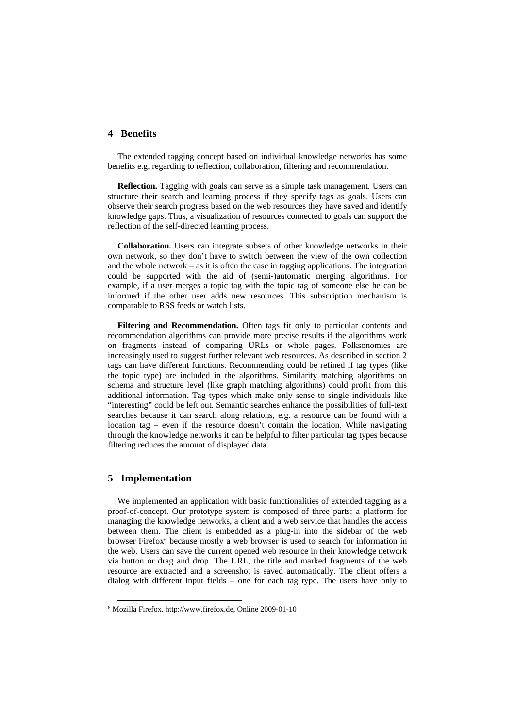## **4 Benefits**

The extended tagging concept based on individual knowledge networks has some benefits e.g. regarding to reflection, collaboration, filtering and recommendation.

**Reflection.** Tagging with goals can serve as a simple task management. Users can structure their search and learning process if they specify tags as goals. Users can observe their search progress based on the web resources they have saved and identify knowledge gaps. Thus, a visualization of resources connected to goals can support the reflection of the self-directed learning process.

**Collaboration.** Users can integrate subsets of other knowledge networks in their own network, so they don't have to switch between the view of the own collection and the whole network – as it is often the case in tagging applications. The integration could be supported with the aid of (semi-)automatic merging algorithms. For example, if a user merges a topic tag with the topic tag of someone else he can be informed if the other user adds new resources. This subscription mechanism is comparable to RSS feeds or watch lists.

**Filtering and Recommendation.** Often tags fit only to particular contents and recommendation algorithms can provide more precise results if the algorithms work on fragments instead of comparing URLs or whole pages. Folksonomies are increasingly used to suggest further relevant web resources. As described in section 2 tags can have different functions. Recommending could be refined if tag types (like the topic type) are included in the algorithms. Similarity matching algorithms on schema and structure level (like graph matching algorithms) could profit from this additional information. Tag types which make only sense to single individuals like "interesting" could be left out. Semantic searches enhance the possibilities of full-text searches because it can search along relations, e.g. a resource can be found with a location tag – even if the resource doesn't contain the location. While navigating through the knowledge networks it can be helpful to filter particular tag types because filtering reduces the amount of displayed data.

## **5 Implementation**

We implemented an application with basic functionalities of extended tagging as a proof-of-concept. Our prototype system is composed of three parts: a platform for managing the knowledge networks, a client and a web service that handles the access between them. The client is embedded as a plug-in into the sidebar of the web browser Firefox<sup>6</sup> because mostly a web browser is used to search for information in the web. Users can save the current opened web resource in their knowledge network via button or drag and drop. The URL, the title and marked fragments of the web resource are extracted and a screenshot is saved automatically. The client offers a dialog with different input fields – one for each tag type. The users have only to

 <sup>6</sup> Mozilla Firefox, http://www.firefox.de, Online 2009-01-10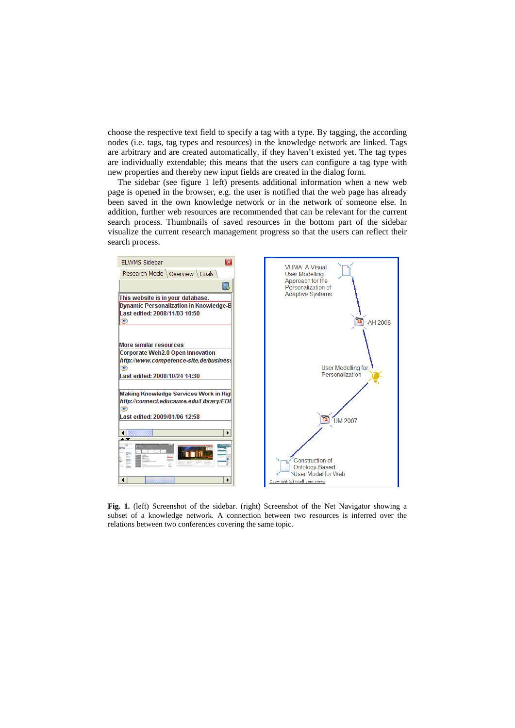choose the respective text field to specify a tag with a type. By tagging, the according nodes (i.e. tags, tag types and resources) in the knowledge network are linked. Tags are arbitrary and are created automatically, if they haven't existed yet. The tag types are individually extendable; this means that the users can configure a tag type with new properties and thereby new input fields are created in the dialog form.

The sidebar (see figure 1 left) presents additional information when a new web page is opened in the browser, e.g. the user is notified that the web page has already been saved in the own knowledge network or in the network of someone else. In addition, further web resources are recommended that can be relevant for the current search process. Thumbnails of saved resources in the bottom part of the sidebar visualize the current research management progress so that the users can reflect their search process.



Fig. 1. (left) Screenshot of the sidebar. (right) Screenshot of the Net Navigator showing a subset of a knowledge network. A connection between two resources is inferred over the relations between two conferences covering the same topic.